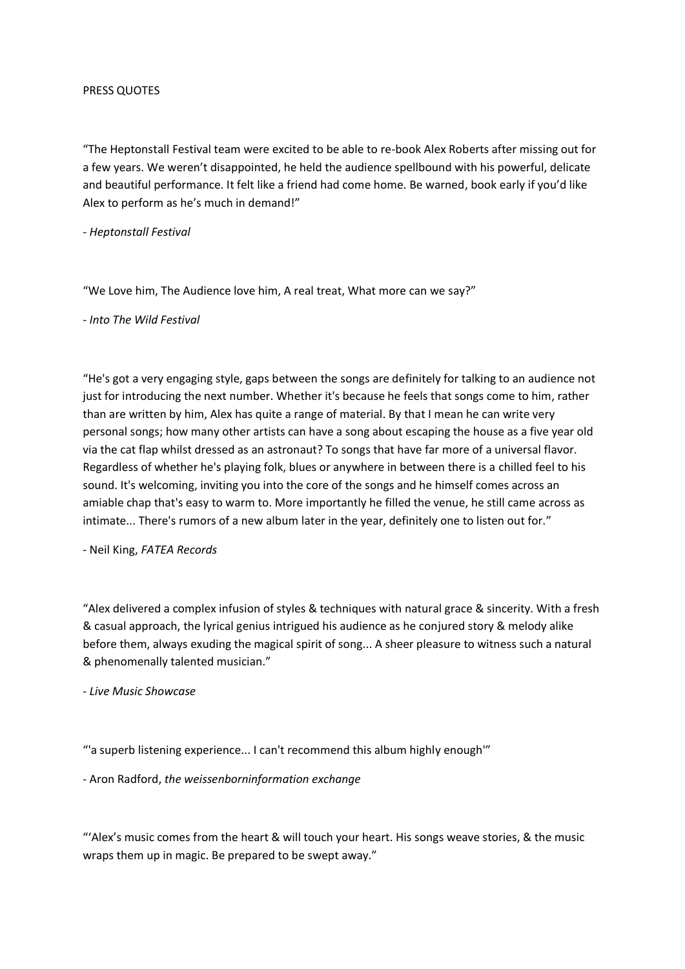## PRESS QUOTES

"The Heptonstall Festival team were excited to be able to re-book Alex Roberts after missing out for a few years. We weren't disappointed, he held the audience spellbound with his powerful, delicate and beautiful performance. It felt like a friend had come home. Be warned, book early if you'd like Alex to perform as he's much in demand!"

- *Heptonstall Festival*

"We Love him, The Audience love him, A real treat, What more can we say?"

- *Into The Wild Festival*

"He's got a very engaging style, gaps between the songs are definitely for talking to an audience not just for introducing the next number. Whether it's because he feels that songs come to him, rather than are written by him, Alex has quite a range of material. By that I mean he can write very personal songs; how many other artists can have a song about escaping the house as a five year old via the cat flap whilst dressed as an astronaut? To songs that have far more of a universal flavor. Regardless of whether he's playing folk, blues or anywhere in between there is a chilled feel to his sound. It's welcoming, inviting you into the core of the songs and he himself comes across an amiable chap that's easy to warm to. More importantly he filled the venue, he still came across as intimate... There's rumors of a new album later in the year, definitely one to listen out for."

- Neil King, *FATEA Records*

"Alex delivered a complex infusion of styles & techniques with natural grace & sincerity. With a fresh & casual approach, the lyrical genius intrigued his audience as he conjured story & melody alike before them, always exuding the magical spirit of song... A sheer pleasure to witness such a natural & phenomenally talented musician."

- *Live Music Showcase*

"'a superb listening experience... I can't recommend this album highly enough'"

- Aron Radford, *the weissenborninformation exchange*

"'Alex's music comes from the heart & will touch your heart. His songs weave stories, & the music wraps them up in magic. Be prepared to be swept away."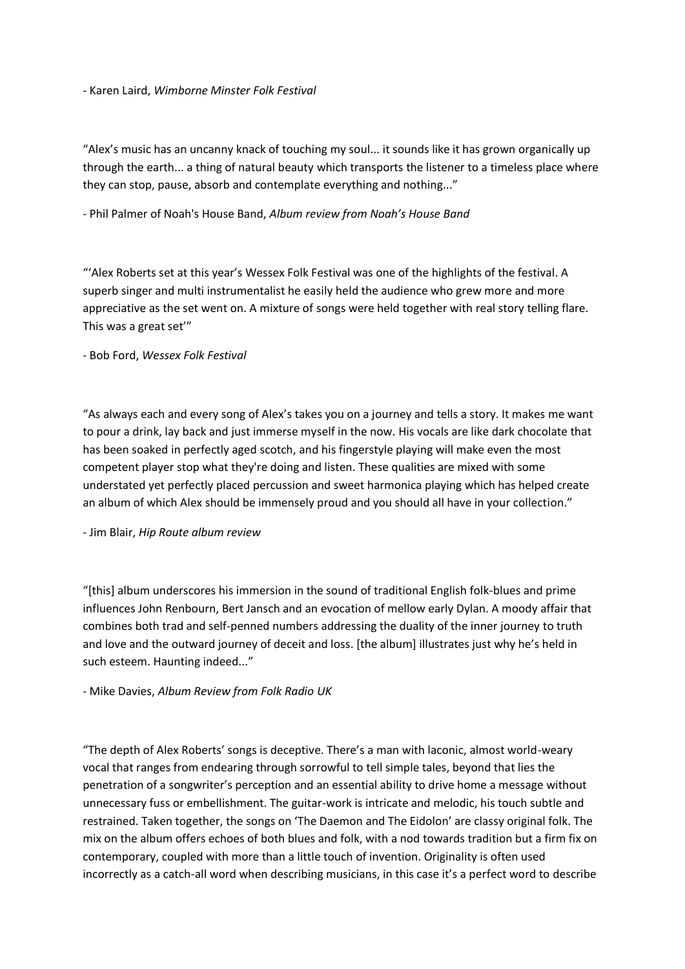## - Karen Laird, *Wimborne Minster Folk Festival*

"Alex's music has an uncanny knack of touching my soul... it sounds like it has grown organically up through the earth... a thing of natural beauty which transports the listener to a timeless place where they can stop, pause, absorb and contemplate everything and nothing..."

- Phil Palmer of Noah's House Band, *Album review from Noah's House Band*

"'Alex Roberts set at this year's Wessex Folk Festival was one of the highlights of the festival. A superb singer and multi instrumentalist he easily held the audience who grew more and more appreciative as the set went on. A mixture of songs were held together with real story telling flare. This was a great set'"

- Bob Ford, *Wessex Folk Festival*

"As always each and every song of Alex's takes you on a journey and tells a story. It makes me want to pour a drink, lay back and just immerse myself in the now. His vocals are like dark chocolate that has been soaked in perfectly aged scotch, and his fingerstyle playing will make even the most competent player stop what they're doing and listen. These qualities are mixed with some understated yet perfectly placed percussion and sweet harmonica playing which has helped create an album of which Alex should be immensely proud and you should all have in your collection."

- Jim Blair, *Hip Route album review*

"[this] album underscores his immersion in the sound of traditional English folk-blues and prime influences John Renbourn, Bert Jansch and an evocation of mellow early Dylan. A moody affair that combines both trad and self-penned numbers addressing the duality of the inner journey to truth and love and the outward journey of deceit and loss. [the album] illustrates just why he's held in such esteem. Haunting indeed..."

- Mike Davies, *Album Review from Folk Radio UK*

"The depth of Alex Roberts' songs is deceptive. There's a man with laconic, almost world-weary vocal that ranges from endearing through sorrowful to tell simple tales, beyond that lies the penetration of a songwriter's perception and an essential ability to drive home a message without unnecessary fuss or embellishment. The guitar-work is intricate and melodic, his touch subtle and restrained. Taken together, the songs on 'The Daemon and The Eidolon' are classy original folk. The mix on the album offers echoes of both blues and folk, with a nod towards tradition but a firm fix on contemporary, coupled with more than a little touch of invention. Originality is often used incorrectly as a catch-all word when describing musicians, in this case it's a perfect word to describe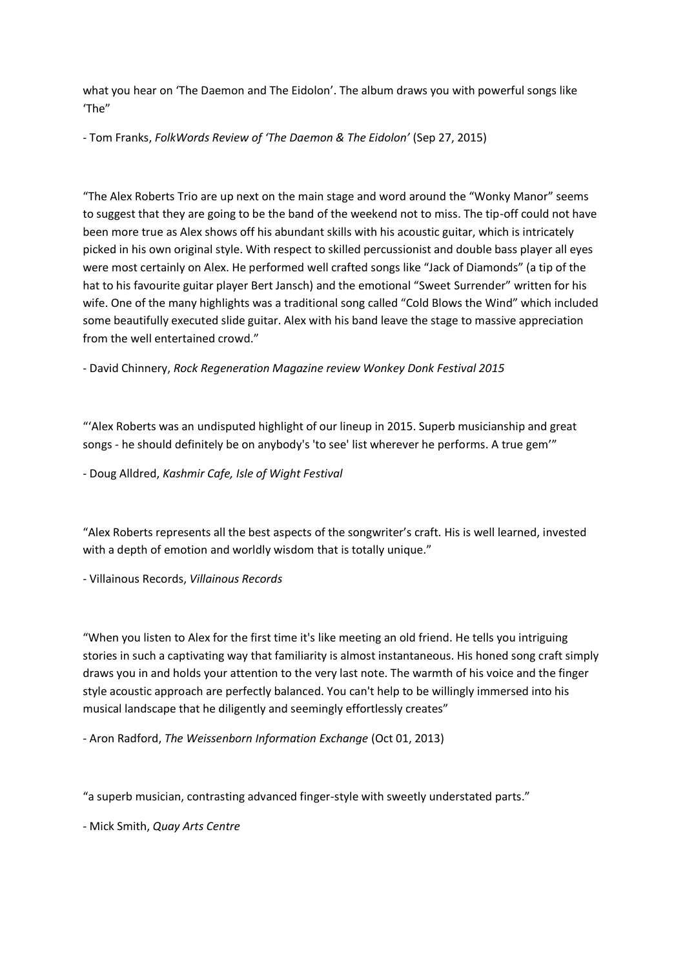what you hear on 'The Daemon and The Eidolon'. The album draws you with powerful songs like 'The"

- Tom Franks, *FolkWords Review of 'The Daemon & The Eidolon'* (Sep 27, 2015)

"The Alex Roberts Trio are up next on the main stage and word around the "Wonky Manor" seems to suggest that they are going to be the band of the weekend not to miss. The tip-off could not have been more true as Alex shows off his abundant skills with his acoustic guitar, which is intricately picked in his own original style. With respect to skilled percussionist and double bass player all eyes were most certainly on Alex. He performed well crafted songs like "Jack of Diamonds" (a tip of the hat to his favourite guitar player Bert Jansch) and the emotional "Sweet Surrender" written for his wife. One of the many highlights was a traditional song called "Cold Blows the Wind" which included some beautifully executed slide guitar. Alex with his band leave the stage to massive appreciation from the well entertained crowd."

- David Chinnery, *Rock Regeneration Magazine review Wonkey Donk Festival 2015*

"'Alex Roberts was an undisputed highlight of our lineup in 2015. Superb musicianship and great songs - he should definitely be on anybody's 'to see' list wherever he performs. A true gem'"

- Doug Alldred, *Kashmir Cafe, Isle of Wight Festival*

"Alex Roberts represents all the best aspects of the songwriter's craft. His is well learned, invested with a depth of emotion and worldly wisdom that is totally unique."

- Villainous Records, *Villainous Records*

"When you listen to Alex for the first time it's like meeting an old friend. He tells you intriguing stories in such a captivating way that familiarity is almost instantaneous. His honed song craft simply draws you in and holds your attention to the very last note. The warmth of his voice and the finger style acoustic approach are perfectly balanced. You can't help to be willingly immersed into his musical landscape that he diligently and seemingly effortlessly creates"

- Aron Radford, *The Weissenborn Information Exchange* (Oct 01, 2013)

"a superb musician, contrasting advanced finger-style with sweetly understated parts."

- Mick Smith, *Quay Arts Centre*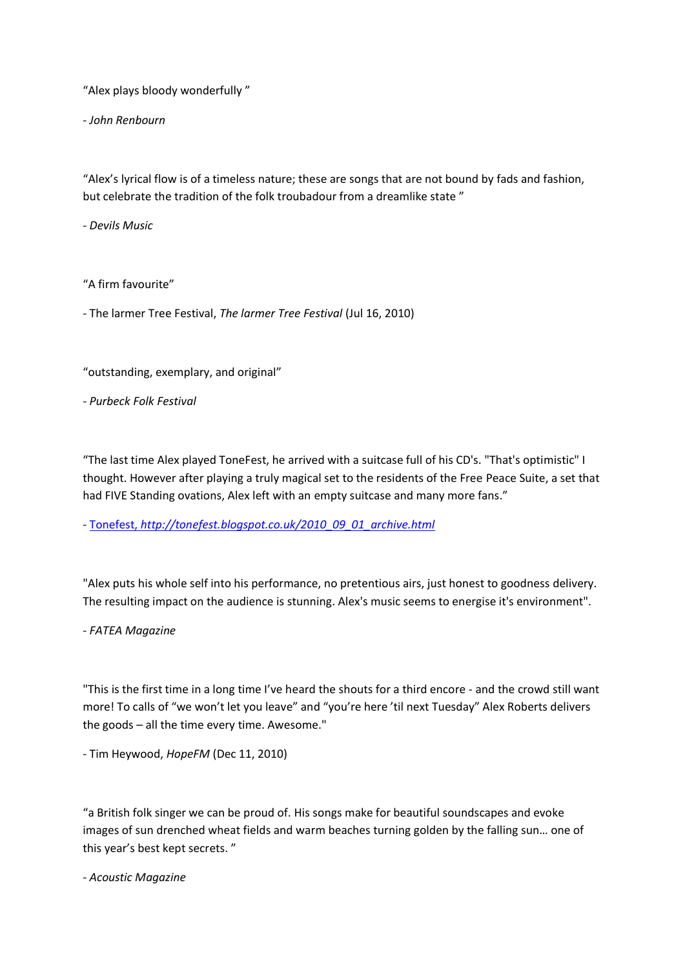"Alex plays bloody wonderfully "

- *John Renbourn*

"Alex's lyrical flow is of a timeless nature; these are songs that are not bound by fads and fashion, but celebrate the tradition of the folk troubadour from a dreamlike state "

- *Devils Music*

"A firm favourite"

- The larmer Tree Festival, *The larmer Tree Festival* (Jul 16, 2010)

"outstanding, exemplary, and original"

- *Purbeck Folk Festival*

"The last time Alex played ToneFest, he arrived with a suitcase full of his CD's. "That's optimistic" I thought. However after playing a truly magical set to the residents of the Free Peace Suite, a set that had FIVE Standing ovations, Alex left with an empty suitcase and many more fans."

- Tonefest, *[http://tonefest.blogspot.co.uk/2010\\_09\\_01\\_archive.html](http://tonefest.blogspot.co.uk/2010_09_01_archive.html)*

"Alex puts his whole self into his performance, no pretentious airs, just honest to goodness delivery. The resulting impact on the audience is stunning. Alex's music seems to energise it's environment".

- *FATEA Magazine*

"This is the first time in a long time I've heard the shouts for a third encore - and the crowd still want more! To calls of "we won't let you leave" and "you're here 'til next Tuesday" Alex Roberts delivers the goods – all the time every time. Awesome."

- Tim Heywood, *HopeFM* (Dec 11, 2010)

"a British folk singer we can be proud of. His songs make for beautiful soundscapes and evoke images of sun drenched wheat fields and warm beaches turning golden by the falling sun… one of this year's best kept secrets. "

- *Acoustic Magazine*